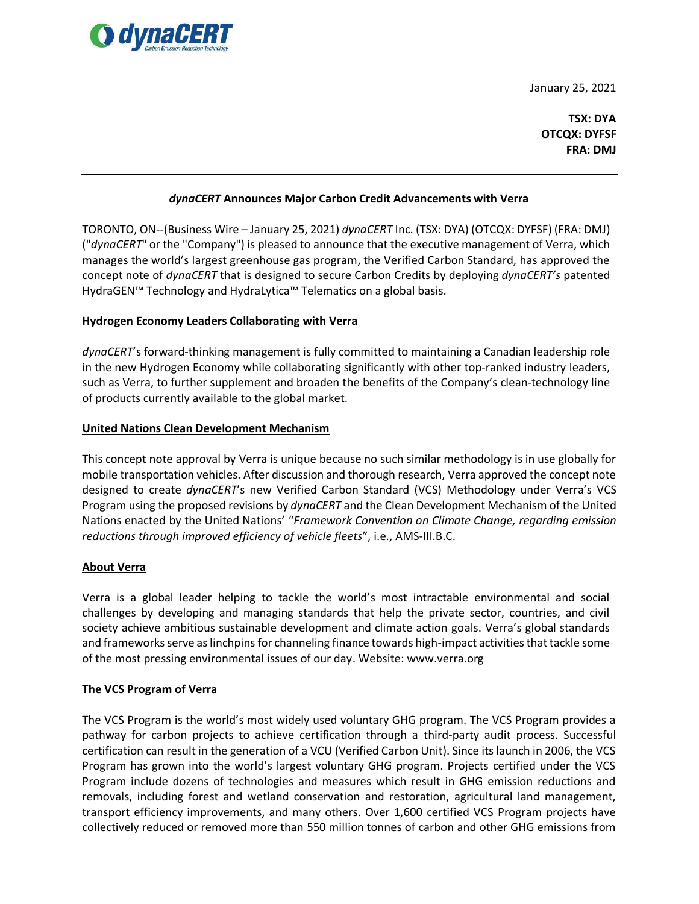

January 25, 2021

**TSX: DYA OTCQX: DYFSF FRA: DMJ**

# *dynaCERT* **Announces Major Carbon Credit Advancements with Verra**

TORONTO, ON--(Business Wire – January 25, 2021) *dynaCERT* Inc. (TSX: DYA) (OTCQX: DYFSF) (FRA: DMJ) ("*dynaCERT*" or the "Company") is pleased to announce that the executive management of Verra, which manages the world's largest greenhouse gas program, the Verified Carbon Standard, has approved the concept note of *dynaCERT* that is designed to secure Carbon Credits by deploying *dynaCERT's* patented HydraGEN™ Technology and HydraLytica™ Telematics on a global basis.

## **Hydrogen Economy Leaders Collaborating with Verra**

*dynaCERT*'s forward-thinking management is fully committed to maintaining a Canadian leadership role in the new Hydrogen Economy while collaborating significantly with other top-ranked industry leaders, such as Verra, to further supplement and broaden the benefits of the Company's clean-technology line of products currently available to the global market.

## **United Nations Clean Development Mechanism**

This concept note approval by Verra is unique because no such similar methodology is in use globally for mobile transportation vehicles. After discussion and thorough research, Verra approved the concept note designed to create *dynaCERT*'s new Verified Carbon Standard (VCS) Methodology under Verra's VCS Program using the proposed revisions by *dynaCERT* and the Clean Development Mechanism of the United Nations enacted by the United Nations' "*Framework Convention on Climate Change, regarding emission reductions through improved efficiency of vehicle fleets*", i.e., AMS-III.B.C.

#### **About Verra**

Verra is a global leader helping to tackle the world's most intractable environmental and social challenges by developing and managing standards that help the private sector, countries, and civil society achieve ambitious sustainable development and climate action goals. Verra's global standards and frameworks serve as linchpins for channeling finance towards high-impact activities that tackle some of the most pressing environmental issues of our day. Website[: www.verra.org](http://www.verra.org/)

#### **The VCS Program of Verra**

The VCS Program is the world's most widely used voluntary GHG program. The VCS Program provides a pathway for carbon projects to achieve certification through a third-party audit process. Successful certification can result in the generation of a VCU (Verified Carbon Unit). Since its launch in 2006, the VCS Program has grown into the world's largest voluntary GHG program. Projects certified under the VCS Program include dozens of technologies and measures which result in GHG emission reductions and removals, including forest and wetland conservation and restoration, agricultural land management, transport efficiency improvements, and many others. Over 1,600 certified VCS Program projects have collectively reduced or removed more than 550 million tonnes of carbon and other GHG emissions from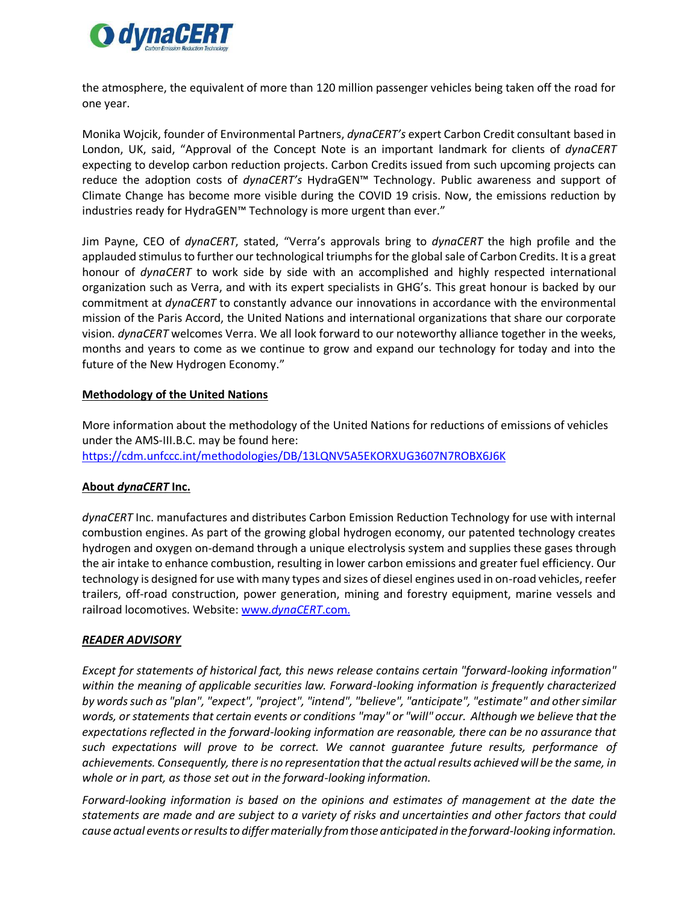

the atmosphere, the equivalent of more than 120 million passenger vehicles being taken off the road for one year.

Monika Wojcik, founder of Environmental Partners, *dynaCERT's* expert Carbon Credit consultant based in London, UK, said, "Approval of the Concept Note is an important landmark for clients of *dynaCERT* expecting to develop carbon reduction projects. Carbon Credits issued from such upcoming projects can reduce the adoption costs of *dynaCERT's* HydraGEN™ Technology. Public awareness and support of Climate Change has become more visible during the COVID 19 crisis. Now, the emissions reduction by industries ready for HydraGEN™ Technology is more urgent than ever."

Jim Payne, CEO of *dynaCERT*, stated, "Verra's approvals bring to *dynaCERT* the high profile and the applauded stimulusto further our technological triumphs for the global sale of Carbon Credits. It is a great honour of *dynaCERT* to work side by side with an accomplished and highly respected international organization such as Verra, and with its expert specialists in GHG's. This great honour is backed by our commitment at *dynaCERT* to constantly advance our innovations in accordance with the environmental mission of the Paris Accord, the United Nations and international organizations that share our corporate vision. *dynaCERT* welcomes Verra. We all look forward to our noteworthy alliance together in the weeks, months and years to come as we continue to grow and expand our technology for today and into the future of the New Hydrogen Economy."

# **Methodology of the United Nations**

More information about the methodology of the United Nations for reductions of emissions of vehicles under the AMS-III.B.C. may be found here: <https://cdm.unfccc.int/methodologies/DB/13LQNV5A5EKORXUG3607N7ROBX6J6K>

# **About** *dynaCERT* **Inc.**

*dynaCERT* Inc. manufactures and distributes Carbon Emission Reduction Technology for use with internal combustion engines. As part of the growing global hydrogen economy, our patented technology creates hydrogen and oxygen on-demand through a unique electrolysis system and supplies these gases through the air intake to enhance combustion, resulting in lower carbon emissions and greater fuel efficiency. Our technology is designed for use with many types and sizes of diesel engines used in on-road vehicles, reefer trailers, off-road construction, power generation, mining and forestry equipment, marine vessels and railroad locomotives. Website: www.*[dynaCERT](http://www.dynacert.com/)*.com.

# *READER ADVISORY*

*Except for statements of historical fact, this news release contains certain "forward-looking information" within the meaning of applicable securities law. Forward-looking information is frequently characterized by words such as "plan", "expect", "project", "intend", "believe", "anticipate", "estimate" and other similar words, or statements that certain events or conditions "may" or "will" occur. Although we believe that the expectations reflected in the forward-looking information are reasonable, there can be no assurance that such expectations will prove to be correct. We cannot guarantee future results, performance of achievements. Consequently, there is no representation thatthe actualresults achieved will be the same, in whole or in part, as those set out in the forward-looking information.*

*Forward-looking information is based on the opinions and estimates of management at the date the statements are made and are subject to a variety of risks and uncertainties and other factors that could cause actual events orresultsto differmaterially fromthose anticipated in the forward-looking information.*